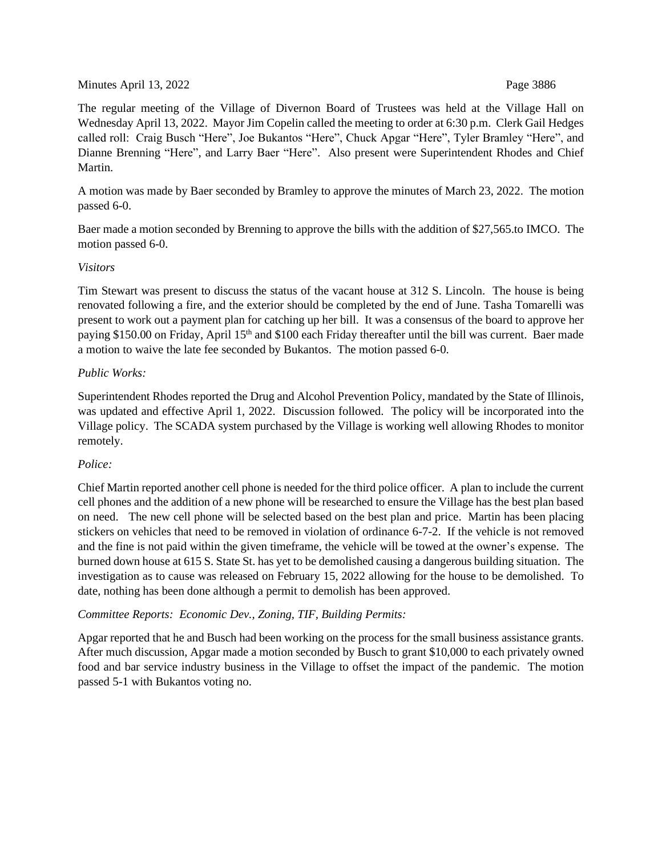## Minutes April 13, 2022 **Page 3886**

The regular meeting of the Village of Divernon Board of Trustees was held at the Village Hall on Wednesday April 13, 2022. Mayor Jim Copelin called the meeting to order at 6:30 p.m. Clerk Gail Hedges called roll: Craig Busch "Here", Joe Bukantos "Here", Chuck Apgar "Here", Tyler Bramley "Here", and Dianne Brenning "Here", and Larry Baer "Here". Also present were Superintendent Rhodes and Chief Martin.

A motion was made by Baer seconded by Bramley to approve the minutes of March 23, 2022. The motion passed 6-0.

Baer made a motion seconded by Brenning to approve the bills with the addition of \$27,565.to IMCO. The motion passed 6-0.

# *Visitors*

Tim Stewart was present to discuss the status of the vacant house at 312 S. Lincoln. The house is being renovated following a fire, and the exterior should be completed by the end of June. Tasha Tomarelli was present to work out a payment plan for catching up her bill. It was a consensus of the board to approve her paying \$150.00 on Friday, April 15<sup>th</sup> and \$100 each Friday thereafter until the bill was current. Baer made a motion to waive the late fee seconded by Bukantos. The motion passed 6-0.

# *Public Works:*

Superintendent Rhodes reported the Drug and Alcohol Prevention Policy, mandated by the State of Illinois, was updated and effective April 1, 2022. Discussion followed. The policy will be incorporated into the Village policy. The SCADA system purchased by the Village is working well allowing Rhodes to monitor remotely.

# *Police:*

Chief Martin reported another cell phone is needed for the third police officer. A plan to include the current cell phones and the addition of a new phone will be researched to ensure the Village has the best plan based on need. The new cell phone will be selected based on the best plan and price. Martin has been placing stickers on vehicles that need to be removed in violation of ordinance 6-7-2. If the vehicle is not removed and the fine is not paid within the given timeframe, the vehicle will be towed at the owner's expense. The burned down house at 615 S. State St. has yet to be demolished causing a dangerous building situation. The investigation as to cause was released on February 15, 2022 allowing for the house to be demolished. To date, nothing has been done although a permit to demolish has been approved.

# *Committee Reports: Economic Dev., Zoning, TIF, Building Permits:*

Apgar reported that he and Busch had been working on the process for the small business assistance grants. After much discussion, Apgar made a motion seconded by Busch to grant \$10,000 to each privately owned food and bar service industry business in the Village to offset the impact of the pandemic. The motion passed 5-1 with Bukantos voting no.